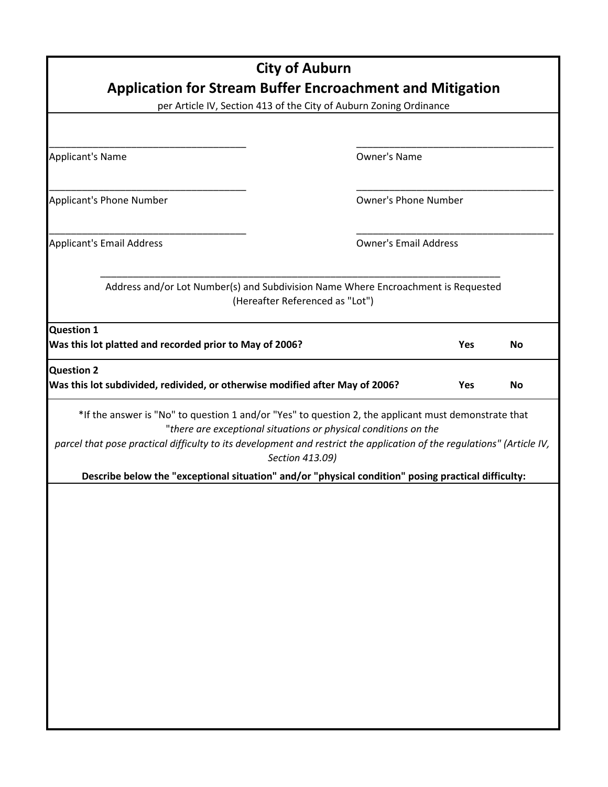| <b>City of Auburn</b><br><b>Application for Stream Buffer Encroachment and Mitigation</b><br>per Article IV, Section 413 of the City of Auburn Zoning Ordinance                                                                                                                                                                                                                                                             |                                 |            |           |  |  |  |
|-----------------------------------------------------------------------------------------------------------------------------------------------------------------------------------------------------------------------------------------------------------------------------------------------------------------------------------------------------------------------------------------------------------------------------|---------------------------------|------------|-----------|--|--|--|
|                                                                                                                                                                                                                                                                                                                                                                                                                             |                                 |            |           |  |  |  |
| <b>Applicant's Name</b>                                                                                                                                                                                                                                                                                                                                                                                                     | <b>Owner's Name</b>             |            |           |  |  |  |
| <b>Applicant's Phone Number</b>                                                                                                                                                                                                                                                                                                                                                                                             | <b>Owner's Phone Number</b>     |            |           |  |  |  |
| <b>Applicant's Email Address</b>                                                                                                                                                                                                                                                                                                                                                                                            | <b>Owner's Email Address</b>    |            |           |  |  |  |
| Address and/or Lot Number(s) and Subdivision Name Where Encroachment is Requested                                                                                                                                                                                                                                                                                                                                           | (Hereafter Referenced as "Lot") |            |           |  |  |  |
| <b>Question 1</b><br>Was this lot platted and recorded prior to May of 2006?                                                                                                                                                                                                                                                                                                                                                |                                 | <b>Yes</b> | <b>No</b> |  |  |  |
| <b>Question 2</b><br>Was this lot subdivided, redivided, or otherwise modified after May of 2006?                                                                                                                                                                                                                                                                                                                           |                                 | <b>Yes</b> | <b>No</b> |  |  |  |
| *If the answer is "No" to question 1 and/or "Yes" to question 2, the applicant must demonstrate that<br>"there are exceptional situations or physical conditions on the<br>parcel that pose practical difficulty to its development and restrict the application of the regulations" (Article IV,<br>Section 413.09)<br>Describe below the "exceptional situation" and/or "physical condition" posing practical difficulty: |                                 |            |           |  |  |  |
|                                                                                                                                                                                                                                                                                                                                                                                                                             |                                 |            |           |  |  |  |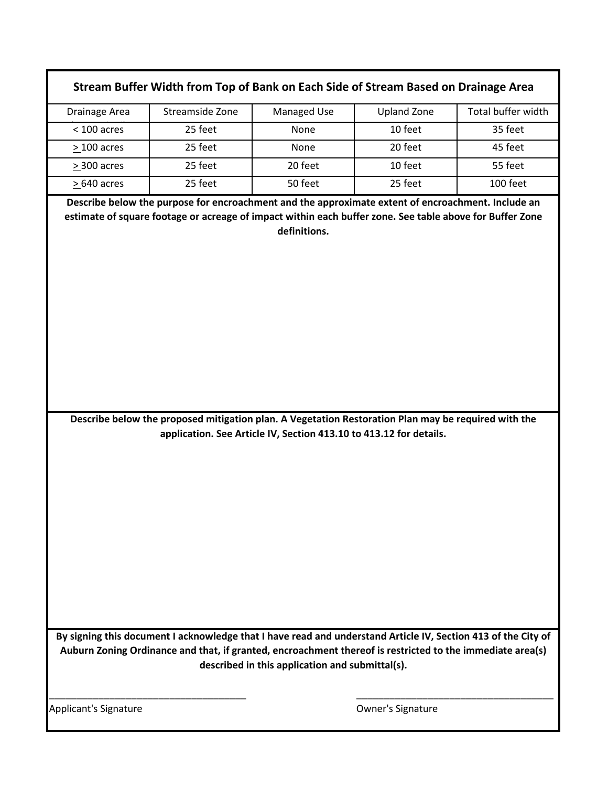| Stream Buffer Width from Top of Bank on Each Side of Stream Based on Drainage Area                                                                                                                                                                                            |                                                                                                          |                                                                                                                                                                           |                    |                    |  |  |  |  |
|-------------------------------------------------------------------------------------------------------------------------------------------------------------------------------------------------------------------------------------------------------------------------------|----------------------------------------------------------------------------------------------------------|---------------------------------------------------------------------------------------------------------------------------------------------------------------------------|--------------------|--------------------|--|--|--|--|
| Drainage Area                                                                                                                                                                                                                                                                 | Streamside Zone                                                                                          | Managed Use                                                                                                                                                               | <b>Upland Zone</b> | Total buffer width |  |  |  |  |
| $<$ 100 acres                                                                                                                                                                                                                                                                 | 25 feet                                                                                                  | None                                                                                                                                                                      | 10 feet            | 35 feet            |  |  |  |  |
| $>100$ acres                                                                                                                                                                                                                                                                  | 25 feet                                                                                                  | None                                                                                                                                                                      | 20 feet            | 45 feet            |  |  |  |  |
| > 300 acres                                                                                                                                                                                                                                                                   | 25 feet                                                                                                  | 20 feet                                                                                                                                                                   | 10 feet            | 55 feet            |  |  |  |  |
| $>640$ acres                                                                                                                                                                                                                                                                  | 25 feet                                                                                                  | 50 feet                                                                                                                                                                   | 25 feet            | 100 feet           |  |  |  |  |
|                                                                                                                                                                                                                                                                               | Describe below the purpose for encroachment and the approximate extent of encroachment. Include an       |                                                                                                                                                                           |                    |                    |  |  |  |  |
|                                                                                                                                                                                                                                                                               | estimate of square footage or acreage of impact within each buffer zone. See table above for Buffer Zone |                                                                                                                                                                           |                    |                    |  |  |  |  |
|                                                                                                                                                                                                                                                                               |                                                                                                          |                                                                                                                                                                           |                    |                    |  |  |  |  |
|                                                                                                                                                                                                                                                                               |                                                                                                          | Describe below the proposed mitigation plan. A Vegetation Restoration Plan may be required with the<br>application. See Article IV, Section 413.10 to 413.12 for details. |                    |                    |  |  |  |  |
| By signing this document I acknowledge that I have read and understand Article IV, Section 413 of the City of<br>Auburn Zoning Ordinance and that, if granted, encroachment thereof is restricted to the immediate area(s)<br>described in this application and submittal(s). |                                                                                                          |                                                                                                                                                                           |                    |                    |  |  |  |  |
| Applicant's Signature                                                                                                                                                                                                                                                         |                                                                                                          |                                                                                                                                                                           | Owner's Signature  |                    |  |  |  |  |